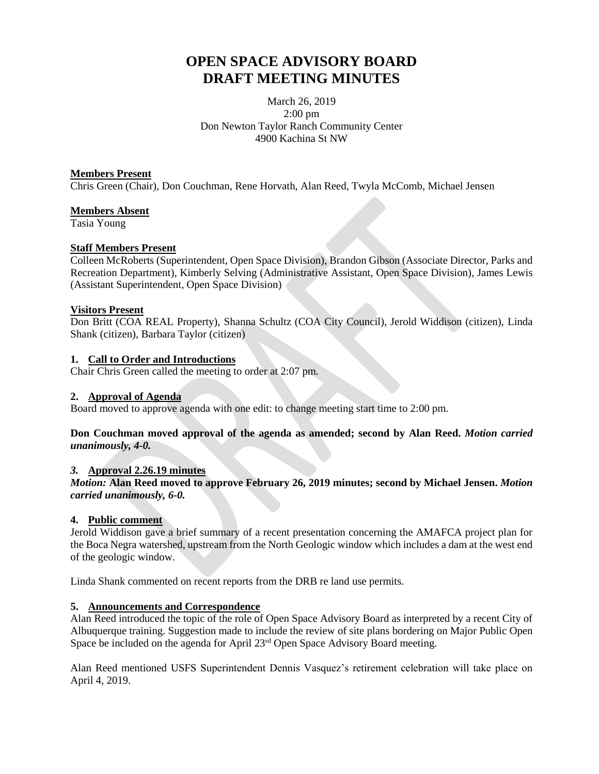# **OPEN SPACE ADVISORY BOARD DRAFT MEETING MINUTES**

March 26, 2019 2:00 pm Don Newton Taylor Ranch Community Center 4900 Kachina St NW

#### **Members Present**

Chris Green (Chair), Don Couchman, Rene Horvath, Alan Reed, Twyla McComb, Michael Jensen

#### **Members Absent**

Tasia Young

### **Staff Members Present**

Colleen McRoberts (Superintendent, Open Space Division), Brandon Gibson (Associate Director, Parks and Recreation Department), Kimberly Selving (Administrative Assistant, Open Space Division), James Lewis (Assistant Superintendent, Open Space Division)

### **Visitors Present**

Don Britt (COA REAL Property), Shanna Schultz (COA City Council), Jerold Widdison (citizen), Linda Shank (citizen), Barbara Taylor (citizen)

### **1. Call to Order and Introductions**

Chair Chris Green called the meeting to order at 2:07 pm.

#### **2. Approval of Agenda**

Board moved to approve agenda with one edit: to change meeting start time to 2:00 pm.

### **Don Couchman moved approval of the agenda as amended; second by Alan Reed.** *Motion carried unanimously, 4-0.*

### *3.* **Approval 2.26.19 minutes**

*Motion:* **Alan Reed moved to approve February 26, 2019 minutes; second by Michael Jensen.** *Motion carried unanimously, 6-0.*

### **4. Public comment**

Jerold Widdison gave a brief summary of a recent presentation concerning the AMAFCA project plan for the Boca Negra watershed, upstream from the North Geologic window which includes a dam at the west end of the geologic window.

Linda Shank commented on recent reports from the DRB re land use permits.

### **5. Announcements and Correspondence**

Alan Reed introduced the topic of the role of Open Space Advisory Board as interpreted by a recent City of Albuquerque training. Suggestion made to include the review of site plans bordering on Major Public Open Space be included on the agenda for April 23<sup>rd</sup> Open Space Advisory Board meeting.

Alan Reed mentioned USFS Superintendent Dennis Vasquez's retirement celebration will take place on April 4, 2019.